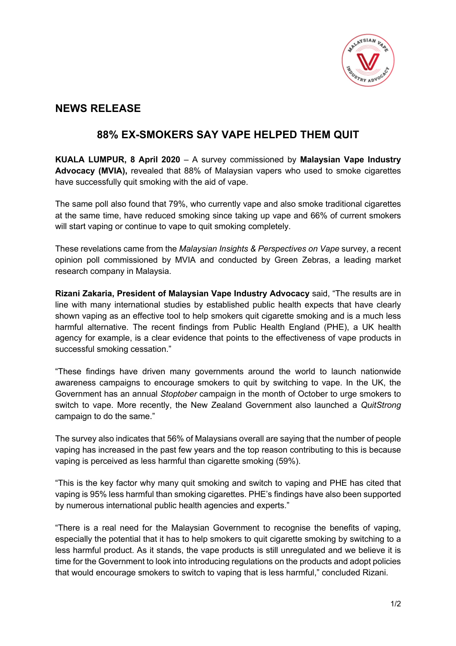

## **NEWS RELEASE**

## **88% EX-SMOKERS SAY VAPE HELPED THEM QUIT**

**KUALA LUMPUR, 8 April 2020** – A survey commissioned by **Malaysian Vape Industry Advocacy (MVIA),** revealed that 88% of Malaysian vapers who used to smoke cigarettes have successfully quit smoking with the aid of vape.

The same poll also found that 79%, who currently vape and also smoke traditional cigarettes at the same time, have reduced smoking since taking up vape and 66% of current smokers will start vaping or continue to vape to quit smoking completely.

These revelations came from the *Malaysian Insights & Perspectives on Vape* survey, a recent opinion poll commissioned by MVIA and conducted by Green Zebras, a leading market research company in Malaysia.

**Rizani Zakaria, President of Malaysian Vape Industry Advocacy** said, "The results are in line with many international studies by established public health expects that have clearly shown vaping as an effective tool to help smokers quit cigarette smoking and is a much less harmful alternative. The recent findings from Public Health England (PHE), a UK health agency for example, is a clear evidence that points to the effectiveness of vape products in successful smoking cessation."

"These findings have driven many governments around the world to launch nationwide awareness campaigns to encourage smokers to quit by switching to vape. In the UK, the Government has an annual *Stoptober* campaign in the month of October to urge smokers to switch to vape. More recently, the New Zealand Government also launched a *QuitStrong* campaign to do the same."

The survey also indicates that 56% of Malaysians overall are saying that the number of people vaping has increased in the past few years and the top reason contributing to this is because vaping is perceived as less harmful than cigarette smoking (59%).

"This is the key factor why many quit smoking and switch to vaping and PHE has cited that vaping is 95% less harmful than smoking cigarettes. PHE's findings have also been supported by numerous international public health agencies and experts."

"There is a real need for the Malaysian Government to recognise the benefits of vaping, especially the potential that it has to help smokers to quit cigarette smoking by switching to a less harmful product. As it stands, the vape products is still unregulated and we believe it is time for the Government to look into introducing regulations on the products and adopt policies that would encourage smokers to switch to vaping that is less harmful," concluded Rizani.